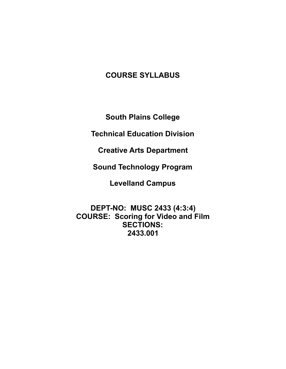# **COURSE SYLLABUS**

**South Plains College** 

**Technical Education Division** 

**Creative Arts Department** 

**Sound Technology Program** 

**Levelland Campus** 

**DEPT-NO: MUSC 2433 (4:3:4) COURSE: Scoring for Video and Film SECTIONS: 2433.001**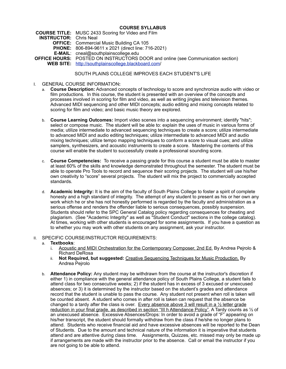## **COURSE SYLLABUS**

**COURSE TITLE:** MUSC 2433 Scoring for Video and Film **INSTRUCTOR:** Chris Neal **OFFICE:** Commercial Music Building CA 105 **PHONE:** 806-894-9611 x 2021 (direct line: 716-2021) **E-MAIL**: cneal@southplainscollege.edu **OFFICE HOURS:** POSTED ON INSTRUCTORS DOOR and online (see Communication section) **WEB SITE:** [http://southplainscollege.blackboard.com/](http://southplainscollege.blackboard.com)

# SOUTH PLAINS COLLEGE IMPROVES EACH STUDENT'S LIFE

- I. GENERAL COURSE INFORMATION**:** 
	- a. **Course Description:** Advanced concepts of technology to score and synchronize audio with video or film productions. In this course, the student is presented with an overview of the concepts and processes involved in scoring for film and video, as well as writing jingles and television themes. Advanced MIDI sequencing and other MIDI concepts; audio editing and mixing concepts related to scoring for film and video; and basic music theory are explored.
	- b. **Course Learning Outcomes:** Import video scenes into a sequencing environment; identify "hits"; select or compose music. The student will be able to: explain the uses of music in various forms of media; utilize intermediate to advanced sequencing techniques to create a score; utilize intermediate to advanced MIDI and audio editing techniques; utilize intermediate to advanced MIDI and audio mixing techniques; utilize tempo mapping techniques to conform a score to visual cues; and utilize samplers, synthesizers, and acoustic instruments to create a score. Mastering the contents of this course will enable the student to successfully create a professional sounding score.
	- c. **Course Competencies:** To receive a passing grade for this course a student must be able to master at least 60% of the skills and knowledge demonstrated throughout the semester. The student must be able to operate Pro Tools to record and sequence their scoring projects. The student will use his/her own creativity to "score" several projects. The student will mix the project to commercially accepted standards.
	- d. **Academic Integrity:** It is the aim of the faculty of South Plains College to foster a spirit of complete honesty and a high standard of integrity. The attempt of any student to present as his or her own any work which he or she has not honestly performed is regarded by the faculty and administration as a serious offense and renders the offender liable to serious consequences, possibly suspension. Students should refer to the SPC General Catalog policy regarding consequences for cheating and plagiarism. (See "Academic Integrity" as well as "Student Conduct" sections in the college catalog). At times, working with other students is encouraged for some assignments. If you have a question as to whether you may work with other students on any assignment, ask your instructor.
- II. SPECIFIC COURSE/INSTRUCTOR REQUIREMENTS:
	- a. **Textbooks**:
		- i. Acoustic and MIDI Orchestration for the Contemporary Composer, 2nd Ed. By Andrea Pejrolo & Richard DeRosa
		- ii. **Not Required, but suggested:** Creative Sequencing Techniques for Music Production. By Andrea Pejrolo
	- b. **Attendance Policy:** Any student may be withdrawn from the course at the instructor's discretion if either 1) in compliance with the general attendance policy of South Plains College, a student fails to attend class for two consecutive weeks; 2) if the student has in excess of 3 excused or unexcused absences; or 3) it is determined by the instructor based on the student's grades and attendance record that the student is unable to pass the course. Any student not present when roll is taken will be counted absent. A student who comes in after roll is taken can request that the absence be changed to a tardy after the class is over. Every absence above 3 will result in a  $\frac{1}{2}$  letter grade reduction in your final grade, as described in section "III h Attendance Policy". A Tardy counts as ½ of an unexcused absence. Excessive Absences/Drops: In order to avoid a grade of "F" appearing on his/her transcript, the student should formally withdraw from the class if he/she no longer plans to attend. Students who receive financial aid and have excessive absences will be reported to the Dean of Students. Due to the amount and technical nature of the information it is imperative that students attend and are attentive during class time. Assignments, Quizzes, etc. missed may only be made up if arrangements are made with the instructor prior to the absence. Call or email the instructor if you are not going to be able to attend.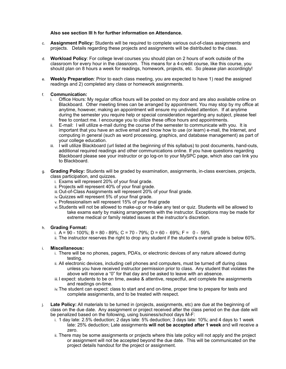## **Also see section III h for further information on Attendance.**

- c. **Assignment Policy:** Students will be required to complete various out-of-class assignments and projects. Details regarding these projects and assignments will be distributed to the class.
- d. **Workload Policy**: For college level courses you should plan on 2 hours of work outside of the classroom for every hour in the classroom. This means for a 4-credit course, like this course, you should plan on 8 hours a week for readings, homework, projects, etc. So please plan accordingly!
- e. **Weekly Preparation**: Prior to each class meeting, you are expected to have 1) read the assigned readings and 2) completed any class or homework assignments.

### f. **Communication:**

- i. Office Hours: My regular office hours will be posted on my door and are also available online on Blackboard. Other meeting times can be arranged by appointment. You may stop by my office at anytime, however, making an appointment will ensure my undivided attention. If at anytime during the semester you require help or special consideration regarding any subject, please feel free to contact me. I encourage you to utilize these office hours and appointments.
- ii. E-mail: I will utilize e-mail during the course of the semester to communicate with you. It is important that you have an active email and know how to use (or learn) e-mail, the Internet, and computing in general (such as word processing, graphics, and database management) as part of your college education.
- iii. I will utilize Blackboard (url listed at the beginning of this syllabus) to post documents, hand-outs, additional required readings and other communications online. If you have questions regarding Blackboard please see your instructor or go log-on to your MySPC page, which also can link you to Blackboard.
- g. **Grading Policy:** Students will be graded by examination, assignments, in-class exercises, projects, class participation, and quizzes.
	- i. Exams will represent 20% of your final grade.
	- ii. Projects will represent 40% of your final grade.
	- iii.Out-of-Class Assignments will represent 20% of your final grade.
	- iv.Quizzes will represent 5% of your final grade.
	- v. Professionalism will represent 15% of your final grade
	- vi.Students will not be allowed to make-up or re-take any test or quiz. Students will be allowed to take exams early by making arrangements with the instructor. Exceptions may be made for extreme medical or family related issues at the instructor's discretion.

#### h. **Grading Format:**

- i. A = 90 100%; B = 80 89%; C = 70 79%; D = 60 69%; F =  $0 59%$
- ii. The instructor reserves the right to drop any student if the student's overall grade is below 60%.

# i. **Miscellaneous:**

- i. There will be no phones, pagers, PDA's, or electronic devices of any nature allowed during testing.
- ii. All electronic devices, including cell phones and computers, must be turned off during class unless you have received instructor permission prior to class. Any student that violates the above will receive a "0" for that day and be asked to leave with an absence.
- iii.I expect: students to be on time, awake & attentive, respectful, and complete the assignments and readings on-time.
- iv.The student can expect: class to start and end on-time, proper time to prepare for tests and complete assignments, and to be treated with respect.
- j. **Late Policy:** All materials to be turned in (projects, assignments, etc) are due at the beginning of class on the due date. Any assignment or project received after the class period on the due date will be penalized based on the following, using business/school days M-F:
	- i. 1 day late: 2.5% deduction; 2 days late: 5% deduction; 3 days late: 10%; and 4 days to 1 week late: 25% deduction; Late assignments **will not be accepted after 1 week** and will receive a zero.
	- ii. There may be some assignments or projects where this late policy will not apply and the project or assignment will not be accepted beyond the due date. This will be communicated on the project details handout for the project or assignment.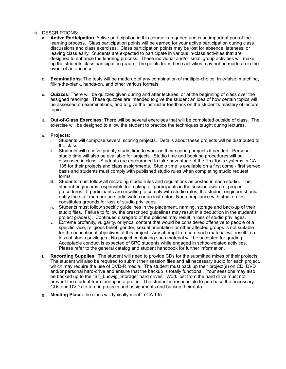## III. DESCRIPTIONS**:**

- a. **Active Participation**: Active participation in this course is required and is an important part of the learning process. Class participation points will be earned for your active participation during class discussions and class exercises. Class participation points may be lost for absence, lateness, or leaving class early. Students are expected to participate in various in-class activities that are designed to enhance the learning process. These individual and/or small group activities will make up the students class participation grade. The points from these activities may not be made up in the event of an absence.
- b. **Examinations**: The tests will be made up of any combination of multiple-choice, true/false, matching, fill-in-the-blank, hands-on, and other various formats.
- c. **Quizzes**: There will be quizzes given during and after lectures, or at the beginning of class over the assigned readings. These quizzes are intended to give the student an idea of how certain topics will be assessed on examinations, and to give the instructor feedback on the student's mastery of lecture topics.
- d. **Out-of-Class Exercises**: There will be several exercises that will be completed outside of class. The exercise will be designed to allow the student to practice the techniques taught during lectures.

### e. **Projects**:

- i. Students will compose several scoring projects. Details about these projects will be distributed to the class.
- ii. Students will receive priority studio time to work on their scoring projects if needed. Personal studio time will also be available for projects. Studio time and booking procedures will be discussed in class. Students are encouraged to take advantage of the Pro Tools systems in CA 135 for their projects and class assignments. Studio time is available on a first come - first served basis and students must comply with published studio rules when completing studio request forms.
- iii. Students must follow all recording studio rules and regulations as posted in each studio. The student engineer is responsible for making all participants in the session aware of proper procedures. If participants are unwilling to comply with studio rules, the student engineer should notify the staff member on studio watch or an instructor. Non-compliance with studio rules constitutes grounds for loss of studio privileges.
- iv. Students must follow specific guidelines in the placement, naming, storage and back-up of their studio files. Failure to follow the prescribed guidelines may result in a deduction in the student's project grade(s). Continued disregard of the policies may result in loss of studio privileges.
- v. Extreme profanity, vulgarity, or lyrical content that would be considered offensive to people of a specific race, religious belief, gender, sexual orientation or other affected groups is not suitable for the educational objectives of this project. Any attempt to record such material will result in a loss of studio privileges. No project containing such material will be accepted for grading. Acceptable conduct is expected of SPC students while engaged in school-related activities. Please refer to the general catalog and student handbook for further information.
- f. **Recording Supplies:** The student will need to provide CDs for the submitted mixes of their projects. The student will also be required to submit their session files and all necessary audio for each project, which may require the use of DVD-R media. The student must back up their project(s) on CD, DVD and/or personal hard-drive and ensure that the backup is totally functional. Your sessions may also be backed up to the "ST\_Ludwig\_Storage" hard drives. Work lost from the hard drive must not prevent the student from turning in a project. The student is responsible to purchase the necessary CDs and DVDs to turn in projects and assignments and backup their data.
- g. **Meeting Place:** the class will typically meet in CA 135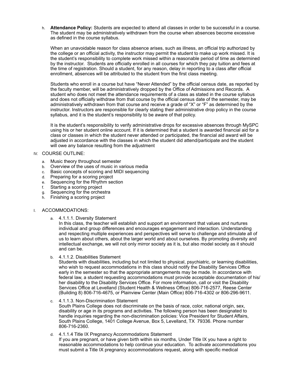h. **Attendance Policy:** Students are expected to attend all classes in order to be successful in a course. The student may be administratively withdrawn from the course when absences become excessive as defined in the course syllabus.

When an unavoidable reason for class absence arises, such as illness, an official trip authorized by the college or an official activity, the instructor may permit the student to make up work missed. It is the student's responsibility to complete work missed within a reasonable period of time as determined by the instructor. Students are officially enrolled in all courses for which they pay tuition and fees at the time of registration. Should a student, for any reason, delay in reporting to a class after official enrollment, absences will be attributed to the student from the first class meeting.

Students who enroll in a course but have "Never Attended" by the official census date, as reported by the faculty member, will be administratively dropped by the Office of Admissions and Records. A student who does not meet the attendance requirements of a class as stated in the course syllabus and does not officially withdraw from that course by the official census date of the semester, may be administratively withdrawn from that course and receive a grade of "X" or "F" as determined by the instructor. Instructors are responsible for clearly stating their administrative drop policy in the course syllabus, and it is the student's responsibility to be aware of that policy.

It is the student's responsibility to verify administrative drops for excessive absences through MySPC using his or her student online account. If it is determined that a student is awarded financial aid for a class or classes in which the student never attended or participated, the financial aid award will be adjusted in accordance with the classes in which the student did attend/participate and the student will owe any balance resulting from the adjustment

# IV. COURSE OUTLINE:

- a. Music theory throughout semester
- b. Overview of the uses of music in various media<br>c. Basic concepts of scoring and MIDI sequencing
- Basic concepts of scoring and MIDI sequencing
- d. Preparing for a scoring project<br>e. Sequencing for the Rhythm seq
- Sequencing for the Rhythm section
- f. Starting a scoring project
- g. Sequencing for the orchestra
- h. Finishing a scoring project

# I. ACCOMMODATIONS:

a. 4.1.1.1. Diversity Statement

In this class, the teacher will establish and support an environment that values and nurtures individual and group differences and encourages engagement and interaction. Understanding and respecting multiple experiences and perspectives will serve to challenge and stimulate all of us to learn about others, about the larger world and about ourselves. By promoting diversity and intellectual exchange, we will not only mirror society as it is, but also model society as it should and can be.

b. 4.1.1.2. Disabilities Statement

Students with disabilities, including but not limited to physical, psychiatric, or learning disabilities, who wish to request accommodations in this class should notify the Disability Services Office early in the semester so that the appropriate arrangements may be made. In accordance with federal law, a student requesting accommodations must provide acceptable documentation of his/ her disability to the Disability Services Office. For more information, call or visit the Disability Services Office at Levelland (Student Health & Wellness Office) 806-716-2577, Reese Center (Building 8) 806-716-4675, or Plainview Center (Main Office) 806-716-4302 or 806-296-9611.

- c. 4.1.1.3. Non-Discrimination Statement South Plains College does not discriminate on the basis of race, color, national origin, sex, disability or age in its programs and activities. The following person has been designated to handle inquiries regarding the non-discrimination policies: Vice President for Student Affairs, South Plains College, 1401 College Avenue, Box 5, Levelland, TX 79336. Phone number 806-716-2360.
- d. 4.1.1.4 Title IX Pregnancy Accommodations Statement If you are pregnant, or have given birth within six months, Under Title IX you have a right to reasonable accommodations to help continue your education. To activate accommodations you must submit a Title IX pregnancy accommodations request, along with specific medical